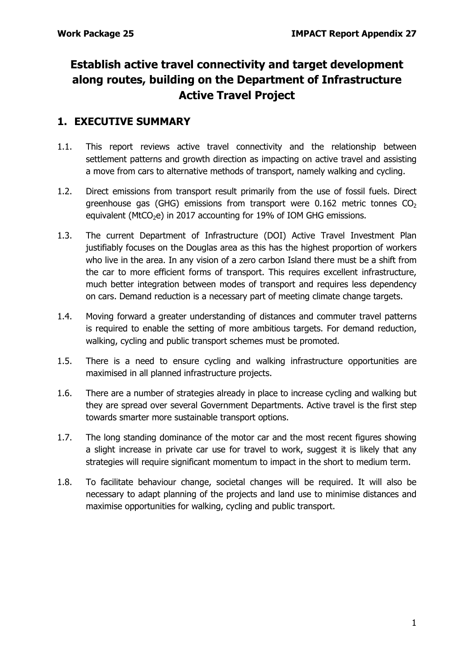# **Establish active travel connectivity and target development along routes, building on the Department of Infrastructure Active Travel Project**

## **1. EXECUTIVE SUMMARY**

- 1.1. This report reviews active travel connectivity and the relationship between settlement patterns and growth direction as impacting on active travel and assisting a move from cars to alternative methods of transport, namely walking and cycling.
- 1.2. Direct emissions from transport result primarily from the use of fossil fuels. Direct greenhouse gas (GHG) emissions from transport were 0.162 metric tonnes  $CO<sub>2</sub>$ equivalent (MtCO<sub>2</sub>e) in 2017 accounting for 19% of IOM GHG emissions.
- 1.3. The current Department of Infrastructure (DOI) Active Travel Investment Plan justifiably focuses on the Douglas area as this has the highest proportion of workers who live in the area. In any vision of a zero carbon Island there must be a shift from the car to more efficient forms of transport. This requires excellent infrastructure, much better integration between modes of transport and requires less dependency on cars. Demand reduction is a necessary part of meeting climate change targets.
- 1.4. Moving forward a greater understanding of distances and commuter travel patterns is required to enable the setting of more ambitious targets. For demand reduction, walking, cycling and public transport schemes must be promoted.
- 1.5. There is a need to ensure cycling and walking infrastructure opportunities are maximised in all planned infrastructure projects.
- 1.6. There are a number of strategies already in place to increase cycling and walking but they are spread over several Government Departments. Active travel is the first step towards smarter more sustainable transport options.
- 1.7. The long standing dominance of the motor car and the most recent figures showing a slight increase in private car use for travel to work, suggest it is likely that any strategies will require significant momentum to impact in the short to medium term.
- 1.8. To facilitate behaviour change, societal changes will be required. It will also be necessary to adapt planning of the projects and land use to minimise distances and maximise opportunities for walking, cycling and public transport.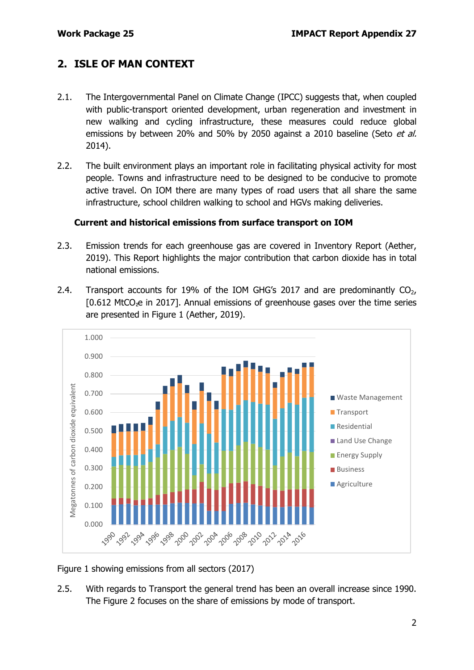## **2. ISLE OF MAN CONTEXT**

- 2.1. The Intergovernmental Panel on Climate Change (IPCC) suggests that, when coupled with public-transport oriented development, urban regeneration and investment in new walking and cycling infrastructure, these measures could reduce global emissions by between 20% and 50% by 2050 against a 2010 baseline (Seto et al. 2014).
- 2.2. The built environment plays an important role in facilitating physical activity for most people. Towns and infrastructure need to be designed to be conducive to promote active travel. On IOM there are many types of road users that all share the same infrastructure, school children walking to school and HGVs making deliveries.

#### **Current and historical emissions from surface transport on IOM**

- 2.3. Emission trends for each greenhouse gas are covered in Inventory Report (Aether, 2019). This Report highlights the major contribution that carbon dioxide has in total national emissions.
- 2.4. Transport accounts for 19% of the IOM GHG's 2017 and are predominantly  $CO<sub>2</sub>$ , [0.612 MtCO<sub>2</sub>e in 2017]. Annual emissions of greenhouse gases over the time series are presented in Figure 1 (Aether, 2019).



Figure 1 showing emissions from all sectors (2017)

2.5. With regards to Transport the general trend has been an overall increase since 1990. The Figure 2 focuses on the share of emissions by mode of transport.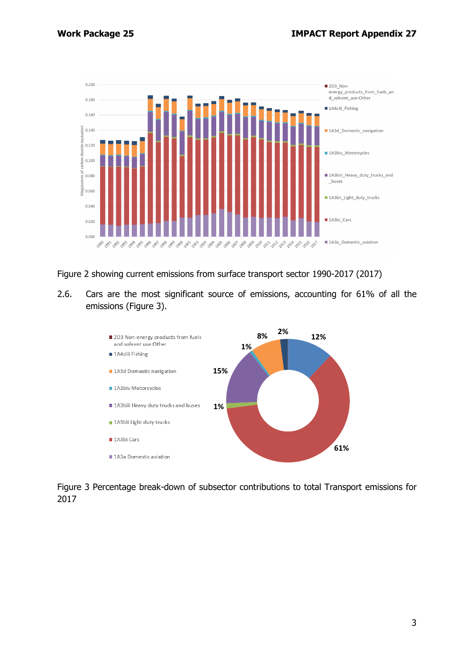

Figure 2 showing current emissions from surface transport sector 1990-2017 (2017)

2.6. Cars are the most significant source of emissions, accounting for 61% of all the emissions (Figure 3).



Figure 3 Percentage break-down of subsector contributions to total Transport emissions for 2017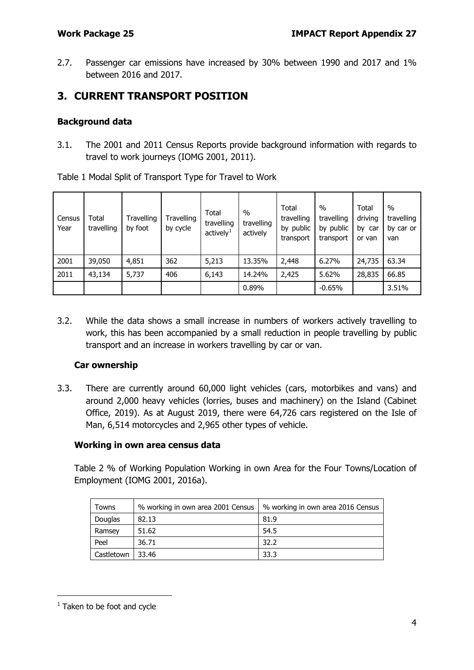2.7. Passenger car emissions have increased by 30% between 1990 and 2017 and 1% between 2016 and 2017.

## **3. CURRENT TRANSPORT POSITION**

### **Background data**

3.1. The 2001 and 2011 Census Reports provide background information with regards to travel to work journeys (IOMG 2001, 2011).

Table 1 Modal Split of Transport Type for Travel to Work

| Census<br>Year | Total<br>travelling | Travelling<br>by foot | Travelling<br>by cycle | Total<br>travelling<br>actively <sup>1</sup> | $\frac{0}{0}$<br>travelling<br>actively | Total<br>travelling<br>by public<br>transport | $\%$<br>travelling<br>by public<br>transport | Total<br>driving<br>by car<br>or van | $\%$<br>travelling<br>by car or<br>van |
|----------------|---------------------|-----------------------|------------------------|----------------------------------------------|-----------------------------------------|-----------------------------------------------|----------------------------------------------|--------------------------------------|----------------------------------------|
| 2001           | 39,050              | 4,851                 | 362                    | 5,213                                        | 13.35%                                  | 2,448                                         | 6.27%                                        | 24,735                               | 63.34                                  |
| 2011           | 43,134              | 5,737                 | 406                    | 6,143                                        | 14.24%                                  | 2,425                                         | 5.62%                                        | 28,835                               | 66.85                                  |
|                |                     |                       |                        |                                              | 0.89%                                   |                                               | $-0.65%$                                     |                                      | 3.51%                                  |

3.2. While the data shows a small increase in numbers of workers actively travelling to work, this has been accompanied by a small reduction in people travelling by public transport and an increase in workers travelling by car or van.

### **Car ownership**

3.3. There are currently around 60,000 light vehicles (cars, motorbikes and vans) and around 2,000 heavy vehicles (lorries, buses and machinery) on the Island (Cabinet Office, 2019). As at August 2019, there were 64,726 cars registered on the Isle of Man, 6,514 motorcycles and 2,965 other types of vehicle.

### **Working in own area census data**

Table 2 % of Working Population Working in own Area for the Four Towns/Location of Employment (IOMG 2001, 2016a).

| <b>Towns</b> | % working in own area 2001 Census | % working in own area 2016 Census |
|--------------|-----------------------------------|-----------------------------------|
| Douglas      | 82.13                             | 81.9                              |
| Ramsey       | 51.62                             | 54.5                              |
| Peel         | 36.71                             | 32.2                              |
| Castletown   | 33.46                             | 33.3                              |

<span id="page-3-0"></span> $1$  Taken to be foot and cycle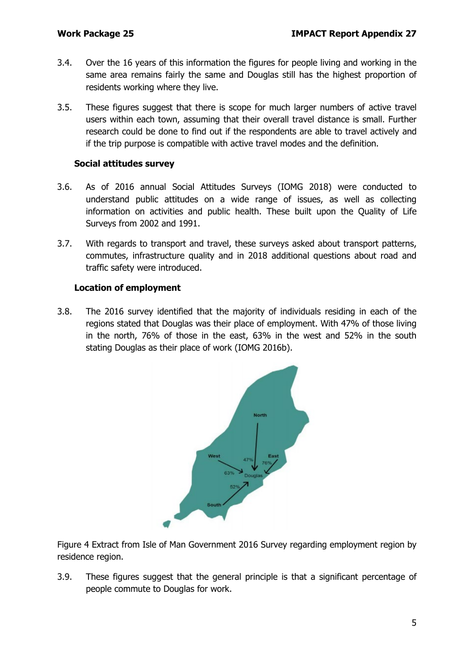- 3.4. Over the 16 years of this information the figures for people living and working in the same area remains fairly the same and Douglas still has the highest proportion of residents working where they live.
- 3.5. These figures suggest that there is scope for much larger numbers of active travel users within each town, assuming that their overall travel distance is small. Further research could be done to find out if the respondents are able to travel actively and if the trip purpose is compatible with active travel modes and the definition.

#### **Social attitudes survey**

- 3.6. As of 2016 annual Social Attitudes Surveys (IOMG 2018) were conducted to understand public attitudes on a wide range of issues, as well as collecting information on activities and public health. These built upon the Quality of Life Surveys from 2002 and 1991.
- 3.7. With regards to transport and travel, these surveys asked about transport patterns, commutes, infrastructure quality and in 2018 additional questions about road and traffic safety were introduced.

#### **Location of employment**

3.8. The 2016 survey identified that the majority of individuals residing in each of the regions stated that Douglas was their place of employment. With 47% of those living in the north, 76% of those in the east, 63% in the west and 52% in the south stating Douglas as their place of work (IOMG 2016b).



Figure 4 Extract from Isle of Man Government 2016 Survey regarding employment region by residence region.

3.9. These figures suggest that the general principle is that a significant percentage of people commute to Douglas for work.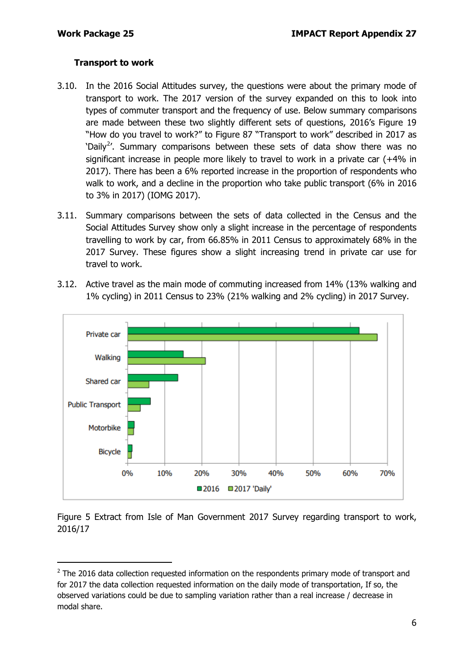#### **Transport to work**

- 3.10. In the 2016 Social Attitudes survey, the questions were about the primary mode of transport to work. The 2017 version of the survey expanded on this to look into types of commuter transport and the frequency of use. Below summary comparisons are made between these two slightly different sets of questions, 2016's Figure 19 "How do you travel to work?" to Figure 87 "Transport to work" described in 2017 as 'Daily<sup>[2](#page-5-0)</sup>'. Summary comparisons between these sets of data show there was no significant increase in people more likely to travel to work in a private car (+4% in 2017). There has been a 6% reported increase in the proportion of respondents who walk to work, and a decline in the proportion who take public transport (6% in 2016 to 3% in 2017) (IOMG 2017).
- 3.11. Summary comparisons between the sets of data collected in the Census and the Social Attitudes Survey show only a slight increase in the percentage of respondents travelling to work by car, from 66.85% in 2011 Census to approximately 68% in the 2017 Survey. These figures show a slight increasing trend in private car use for travel to work.
- 3.12. Active travel as the main mode of commuting increased from 14% (13% walking and 1% cycling) in 2011 Census to 23% (21% walking and 2% cycling) in 2017 Survey.



Figure 5 Extract from Isle of Man Government 2017 Survey regarding transport to work, 2016/17

<span id="page-5-0"></span> $2$  The 2016 data collection requested information on the respondents primary mode of transport and for 2017 the data collection requested information on the daily mode of transportation, If so, the observed variations could be due to sampling variation rather than a real increase / decrease in modal share.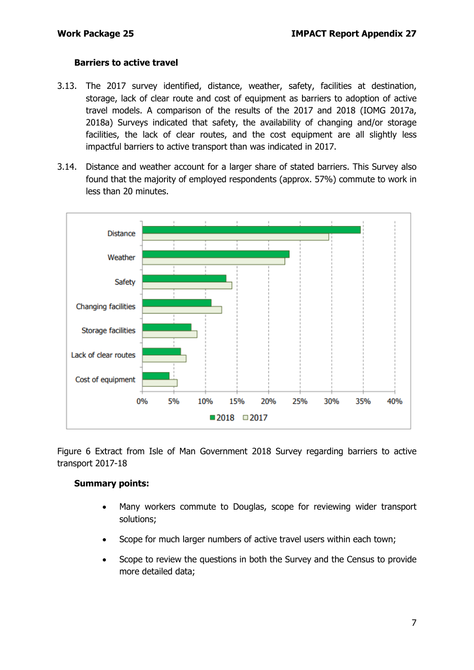#### **Barriers to active travel**

- 3.13. The 2017 survey identified, distance, weather, safety, facilities at destination, storage, lack of clear route and cost of equipment as barriers to adoption of active travel models. A comparison of the results of the 2017 and 2018 (IOMG 2017a, 2018a) Surveys indicated that safety, the availability of changing and/or storage facilities, the lack of clear routes, and the cost equipment are all slightly less impactful barriers to active transport than was indicated in 2017.
- 3.14. Distance and weather account for a larger share of stated barriers. This Survey also found that the majority of employed respondents (approx. 57%) commute to work in less than 20 minutes.



Figure 6 Extract from Isle of Man Government 2018 Survey regarding barriers to active transport 2017-18

#### **Summary points:**

- Many workers commute to Douglas, scope for reviewing wider transport solutions;
- Scope for much larger numbers of active travel users within each town;
- Scope to review the questions in both the Survey and the Census to provide more detailed data;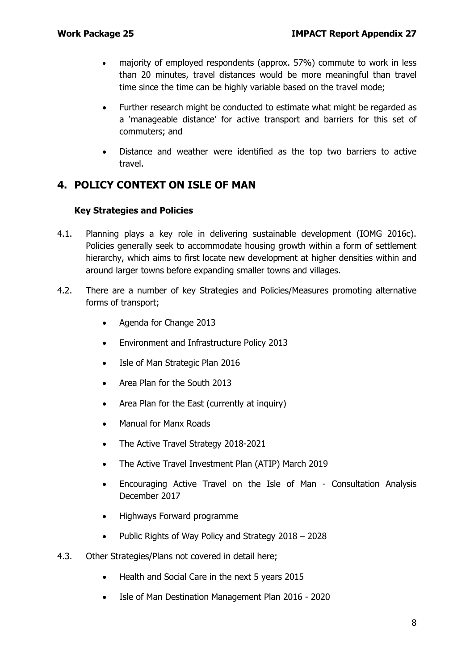- majority of employed respondents (approx. 57%) commute to work in less than 20 minutes, travel distances would be more meaningful than travel time since the time can be highly variable based on the travel mode;
- Further research might be conducted to estimate what might be regarded as a 'manageable distance' for active transport and barriers for this set of commuters; and
- Distance and weather were identified as the top two barriers to active travel.

## **4. POLICY CONTEXT ON ISLE OF MAN**

#### **Key Strategies and Policies**

- 4.1. Planning plays a key role in delivering sustainable development (IOMG 2016c). Policies generally seek to accommodate housing growth within a form of settlement hierarchy, which aims to first locate new development at higher densities within and around larger towns before expanding smaller towns and villages.
- 4.2. There are a number of key Strategies and Policies/Measures promoting alternative forms of transport;
	- Agenda for Change 2013
	- Environment and Infrastructure Policy 2013
	- Isle of Man Strategic Plan 2016
	- Area Plan for the South 2013
	- Area Plan for the East (currently at inquiry)
	- Manual for Manx Roads
	- The Active Travel Strategy 2018-2021
	- The Active Travel Investment Plan (ATIP) March 2019
	- Encouraging Active Travel on the Isle of Man Consultation Analysis December 2017
	- Highways Forward programme
	- Public Rights of Way Policy and Strategy 2018 2028
- 4.3. Other Strategies/Plans not covered in detail here;
	- Health and Social Care in the next 5 years 2015
	- Isle of Man Destination Management Plan 2016 2020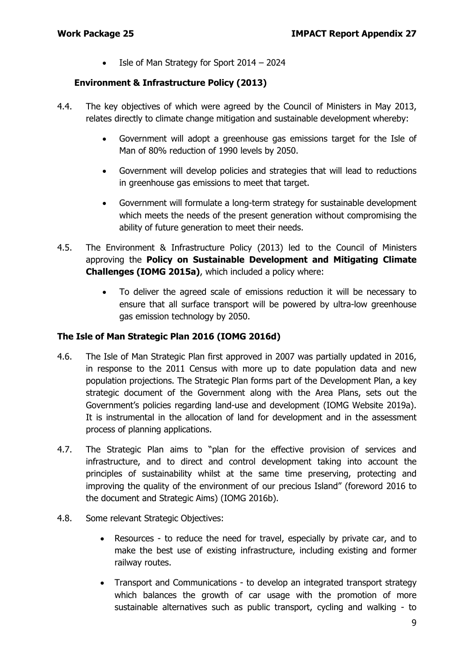• Isle of Man Strategy for Sport 2014 – 2024

#### **Environment & Infrastructure Policy (2013)**

- 4.4. The key objectives of which were agreed by the Council of Ministers in May 2013, relates directly to climate change mitigation and sustainable development whereby:
	- Government will adopt a greenhouse gas emissions target for the Isle of Man of 80% reduction of 1990 levels by 2050.
	- Government will develop policies and strategies that will lead to reductions in greenhouse gas emissions to meet that target.
	- Government will formulate a long-term strategy for sustainable development which meets the needs of the present generation without compromising the ability of future generation to meet their needs.
- 4.5. The Environment & Infrastructure Policy (2013) led to the Council of Ministers approving the **Policy on Sustainable Development and Mitigating Climate Challenges (IOMG 2015a)**, which included a policy where:
	- To deliver the agreed scale of emissions reduction it will be necessary to ensure that all surface transport will be powered by ultra-low greenhouse gas emission technology by 2050.

#### **The Isle of Man Strategic Plan 2016 (IOMG 2016d)**

- 4.6. The Isle of Man Strategic Plan first approved in 2007 was partially updated in 2016, in response to the 2011 Census with more up to date population data and new population projections. The Strategic Plan forms part of the Development Plan, a key strategic document of the Government along with the Area Plans, sets out the Government's policies regarding land-use and development (IOMG Website 2019a). It is instrumental in the allocation of land for development and in the assessment process of planning applications.
- 4.7. The Strategic Plan aims to "plan for the effective provision of services and infrastructure, and to direct and control development taking into account the principles of sustainability whilst at the same time preserving, protecting and improving the quality of the environment of our precious Island" (foreword 2016 to the document and Strategic Aims) (IOMG 2016b).
- 4.8. Some relevant Strategic Objectives:
	- Resources to reduce the need for travel, especially by private car, and to make the best use of existing infrastructure, including existing and former railway routes.
	- Transport and Communications to develop an integrated transport strategy which balances the growth of car usage with the promotion of more sustainable alternatives such as public transport, cycling and walking - to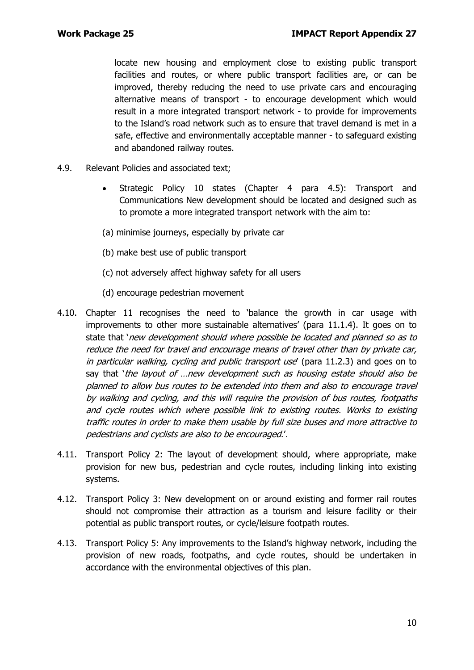locate new housing and employment close to existing public transport facilities and routes, or where public transport facilities are, or can be improved, thereby reducing the need to use private cars and encouraging alternative means of transport - to encourage development which would result in a more integrated transport network - to provide for improvements to the Island's road network such as to ensure that travel demand is met in a safe, effective and environmentally acceptable manner - to safeguard existing and abandoned railway routes.

- 4.9. Relevant Policies and associated text;
	- Strategic Policy 10 states (Chapter 4 para 4.5): Transport and Communications New development should be located and designed such as to promote a more integrated transport network with the aim to:
	- (a) minimise journeys, especially by private car
	- (b) make best use of public transport
	- (c) not adversely affect highway safety for all users
	- (d) encourage pedestrian movement
- 4.10. Chapter 11 recognises the need to 'balance the growth in car usage with improvements to other more sustainable alternatives' (para 11.1.4). It goes on to state that 'new development should where possible be located and planned so as to reduce the need for travel and encourage means of travel other than by private car, in particular walking, cycling and public transport use (para 11.2.3) and goes on to say that 'the layout of ...new development such as housing estate should also be planned to allow bus routes to be extended into them and also to encourage travel by walking and cycling, and this will require the provision of bus routes, footpaths and cycle routes which where possible link to existing routes. Works to existing traffic routes in order to make them usable by full size buses and more attractive to pedestrians and cyclists are also to be encouraged.'.
- 4.11. Transport Policy 2: The layout of development should, where appropriate, make provision for new bus, pedestrian and cycle routes, including linking into existing systems.
- 4.12. Transport Policy 3: New development on or around existing and former rail routes should not compromise their attraction as a tourism and leisure facility or their potential as public transport routes, or cycle/leisure footpath routes.
- 4.13. Transport Policy 5: Any improvements to the Island's highway network, including the provision of new roads, footpaths, and cycle routes, should be undertaken in accordance with the environmental objectives of this plan.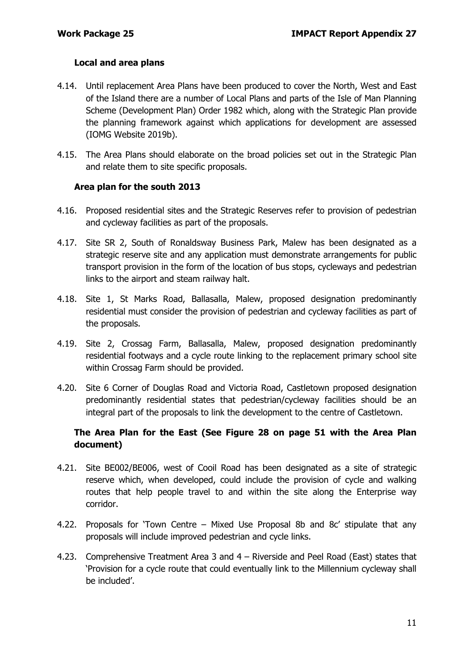#### **Local and area plans**

- 4.14. Until replacement Area Plans have been produced to cover the North, West and East of the Island there are a number of Local Plans and parts of the Isle of Man Planning Scheme (Development Plan) Order 1982 which, along with the Strategic Plan provide the planning framework against which applications for development are assessed (IOMG Website 2019b).
- 4.15. The Area Plans should elaborate on the broad policies set out in the Strategic Plan and relate them to site specific proposals.

#### **Area plan for the south 2013**

- 4.16. Proposed residential sites and the Strategic Reserves refer to provision of pedestrian and cycleway facilities as part of the proposals.
- 4.17. Site SR 2, South of Ronaldsway Business Park, Malew has been designated as a strategic reserve site and any application must demonstrate arrangements for public transport provision in the form of the location of bus stops, cycleways and pedestrian links to the airport and steam railway halt.
- 4.18. Site 1, St Marks Road, Ballasalla, Malew, proposed designation predominantly residential must consider the provision of pedestrian and cycleway facilities as part of the proposals.
- 4.19. Site 2, Crossag Farm, Ballasalla, Malew, proposed designation predominantly residential footways and a cycle route linking to the replacement primary school site within Crossag Farm should be provided.
- 4.20. Site 6 Corner of Douglas Road and Victoria Road, Castletown proposed designation predominantly residential states that pedestrian/cycleway facilities should be an integral part of the proposals to link the development to the centre of Castletown.

#### **The Area Plan for the East (See Figure 28 on page 51 with the Area Plan document)**

- 4.21. Site BE002/BE006, west of Cooil Road has been designated as a site of strategic reserve which, when developed, could include the provision of cycle and walking routes that help people travel to and within the site along the Enterprise way corridor.
- 4.22. Proposals for 'Town Centre Mixed Use Proposal 8b and 8c' stipulate that any proposals will include improved pedestrian and cycle links.
- 4.23. Comprehensive Treatment Area 3 and 4 Riverside and Peel Road (East) states that 'Provision for a cycle route that could eventually link to the Millennium cycleway shall be included'.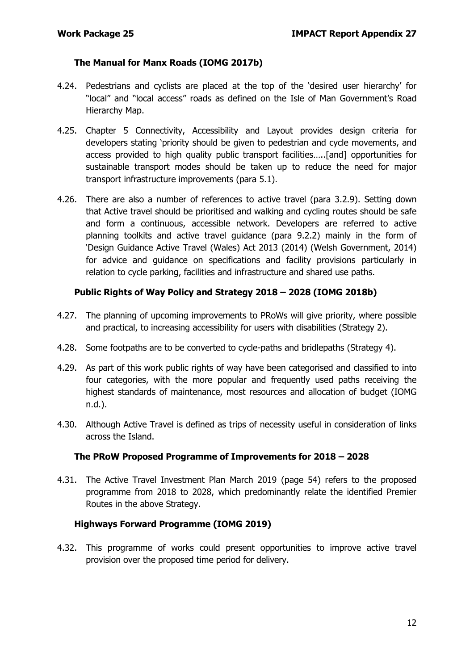#### **The Manual for Manx Roads (IOMG 2017b)**

- 4.24. Pedestrians and cyclists are placed at the top of the 'desired user hierarchy' for "local" and "local access" roads as defined on the Isle of Man Government's Road Hierarchy Map.
- 4.25. Chapter 5 Connectivity, Accessibility and Layout provides design criteria for developers stating 'priority should be given to pedestrian and cycle movements, and access provided to high quality public transport facilities…..[and] opportunities for sustainable transport modes should be taken up to reduce the need for major transport infrastructure improvements (para 5.1).
- 4.26. There are also a number of references to active travel (para 3.2.9). Setting down that Active travel should be prioritised and walking and cycling routes should be safe and form a continuous, accessible network. Developers are referred to active planning toolkits and active travel guidance (para 9.2.2) mainly in the form of 'Design Guidance Active Travel (Wales) Act 2013 (2014) (Welsh Government, 2014) for advice and guidance on specifications and facility provisions particularly in relation to cycle parking, facilities and infrastructure and shared use paths.

#### **Public Rights of Way Policy and Strategy 2018 – 2028 (IOMG 2018b)**

- 4.27. The planning of upcoming improvements to PRoWs will give priority, where possible and practical, to increasing accessibility for users with disabilities (Strategy 2).
- 4.28. Some footpaths are to be converted to cycle-paths and bridlepaths (Strategy 4).
- 4.29. As part of this work public rights of way have been categorised and classified to into four categories, with the more popular and frequently used paths receiving the highest standards of maintenance, most resources and allocation of budget (IOMG n.d.).
- 4.30. Although Active Travel is defined as trips of necessity useful in consideration of links across the Island.

#### **The PRoW Proposed Programme of Improvements for 2018 – 2028**

4.31. The Active Travel Investment Plan March 2019 (page 54) refers to the proposed programme from 2018 to 2028, which predominantly relate the identified Premier Routes in the above Strategy.

#### **Highways Forward Programme (IOMG 2019)**

4.32. This programme of works could present opportunities to improve active travel provision over the proposed time period for delivery.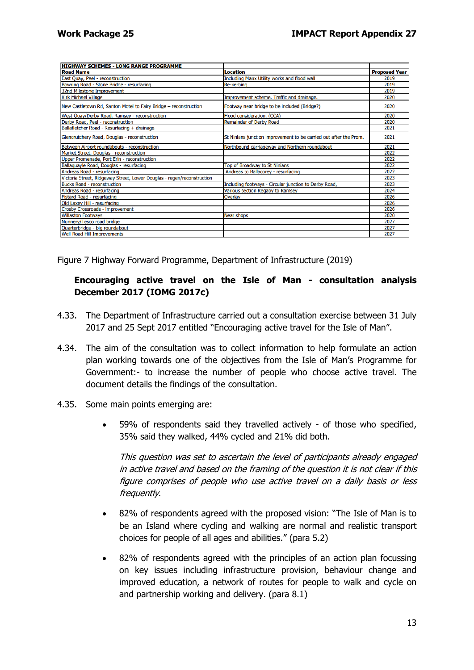| IHIGHWAY SCHEMES - LONG RANGE PROGRAMME                                |                                                                   |                      |
|------------------------------------------------------------------------|-------------------------------------------------------------------|----------------------|
| <b>Road Name</b>                                                       | Location                                                          | <b>Proposed Year</b> |
| East Quay, Peel - reconstruction                                       | Including Manx Utility works and flood wall                       | 2019                 |
| Bowring Road - Stone Bridge - resurfacing                              | <b>Re-kerbing</b>                                                 | 2019                 |
| 32nd Milestone Improvement                                             |                                                                   | 2019                 |
| Kirk Michael Village                                                   | Improvement scheme. Traffic and drainage.                         | 2020                 |
| New Castletown Rd, Santon Motel to Fairy Bridge - reconstruction       | Footway near bridge to be included (Bridge?)                      | 2020                 |
| West Quay/Derby Road, Ramsey - reconstruction                          | Flood consideration. (CCA)                                        | 2020                 |
| Derby Road, Peel - reconstruction                                      | <b>Remainder of Derby Road</b>                                    | 2020                 |
| Ballafletcher Road - Resurfacing + drainage                            |                                                                   | 2021                 |
| Glencrutchery Road, Douglas - reconstruction                           | St Ninians junction improvement to be carried out after the Prom. | 2021                 |
| Between Airport roundabouts - reconstruction                           | Northbound carriageway and Northern roundabout                    | 2021                 |
| Market Street, Douglas - reconstruction                                |                                                                   | 2022                 |
| Upper Promenade, Port Erin - reconstruction                            |                                                                   | 2022                 |
| Ballaquayle Road, Douglas - resurfacing                                | Top of Broadway to St Ninians                                     | 2022                 |
| Andreas Road - resurfacing                                             | Andreas to Ballacorey - resurfacing                               | 2022                 |
| Victoria Street, Ridgeway Street, Lower Douglas - regen/reconstruction |                                                                   | 2023                 |
| <b>Bucks Road - reconstruction</b>                                     | Including footways - Circular junction to Derby Road,             | 2023                 |
| Andreas Road - resurfacing                                             | Various section Regaby to Ramsey                                  | 2024                 |
| Fistard Road - resurfacing                                             | Overlay                                                           | 2026                 |
| Old Laxey Hill - resurfacing                                           |                                                                   | 2026                 |
| Crosby Crossroads - improvement                                        |                                                                   | 2026                 |
| <b>Willaston Footways</b>                                              | Near shops                                                        | 2020                 |
| Nunnery/Tesco road bridge                                              |                                                                   | 2027                 |
| Quarterbridge - big roundabout                                         |                                                                   | 2027                 |
| Well Road Hill Improvements                                            |                                                                   | 2027                 |
|                                                                        |                                                                   |                      |

Figure 7 Highway Forward Programme, Department of Infrastructure (2019)

#### **Encouraging active travel on the Isle of Man - consultation analysis December 2017 (IOMG 2017c)**

- 4.33. The Department of Infrastructure carried out a consultation exercise between 31 July 2017 and 25 Sept 2017 entitled "Encouraging active travel for the Isle of Man".
- 4.34. The aim of the consultation was to collect information to help formulate an action plan working towards one of the objectives from the Isle of Man's Programme for Government:- to increase the number of people who choose active travel. The document details the findings of the consultation.
- 4.35. Some main points emerging are:
	- 59% of respondents said they travelled actively of those who specified, 35% said they walked, 44% cycled and 21% did both.

This question was set to ascertain the level of participants already engaged in active travel and based on the framing of the question it is not clear if this figure comprises of people who use active travel on a daily basis or less frequently.

- 82% of respondents agreed with the proposed vision: "The Isle of Man is to be an Island where cycling and walking are normal and realistic transport choices for people of all ages and abilities." (para 5.2)
- 82% of respondents agreed with the principles of an action plan focussing on key issues including infrastructure provision, behaviour change and improved education, a network of routes for people to walk and cycle on and partnership working and delivery. (para 8.1)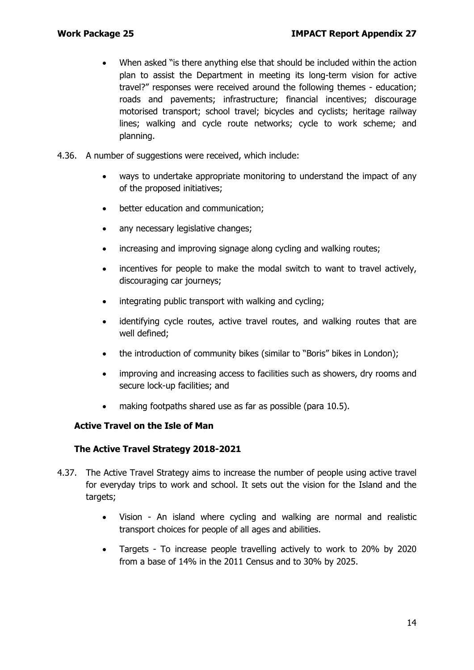- When asked "is there anything else that should be included within the action plan to assist the Department in meeting its long-term vision for active travel?" responses were received around the following themes - education; roads and pavements; infrastructure; financial incentives; discourage motorised transport; school travel; bicycles and cyclists; heritage railway lines; walking and cycle route networks; cycle to work scheme; and planning.
- 4.36. A number of suggestions were received, which include:
	- ways to undertake appropriate monitoring to understand the impact of any of the proposed initiatives;
	- better education and communication;
	- any necessary legislative changes;
	- increasing and improving signage along cycling and walking routes;
	- incentives for people to make the modal switch to want to travel actively, discouraging car journeys;
	- integrating public transport with walking and cycling;
	- identifying cycle routes, active travel routes, and walking routes that are well defined;
	- the introduction of community bikes (similar to "Boris" bikes in London);
	- improving and increasing access to facilities such as showers, dry rooms and secure lock-up facilities; and
	- making footpaths shared use as far as possible (para 10.5).

#### **Active Travel on the Isle of Man**

#### **The Active Travel Strategy 2018-2021**

- 4.37. The Active Travel Strategy aims to increase the number of people using active travel for everyday trips to work and school. It sets out the vision for the Island and the targets;
	- Vision An island where cycling and walking are normal and realistic transport choices for people of all ages and abilities.
	- Targets To increase people travelling actively to work to 20% by 2020 from a base of 14% in the 2011 Census and to 30% by 2025.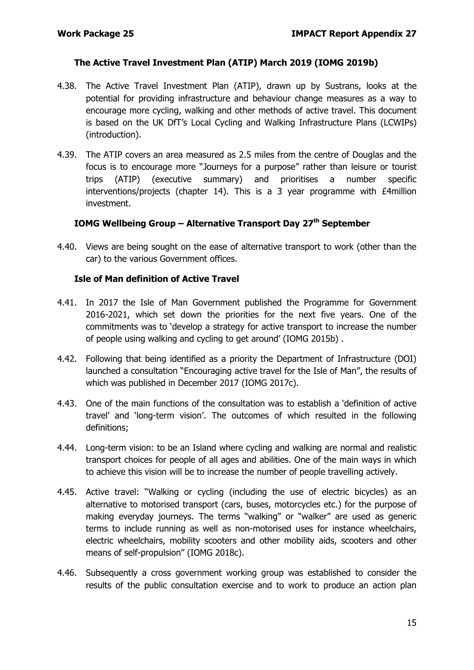#### **The Active Travel Investment Plan (ATIP) March 2019 (IOMG 2019b)**

- 4.38. The Active Travel Investment Plan (ATIP), drawn up by Sustrans, looks at the potential for providing infrastructure and behaviour change measures as a way to encourage more cycling, walking and other methods of active travel. This document is based on the UK DfT's Local Cycling and Walking Infrastructure Plans (LCWIPs) (introduction).
- 4.39. The ATIP covers an area measured as 2.5 miles from the centre of Douglas and the focus is to encourage more "Journeys for a purpose" rather than leisure or tourist trips (ATIP) (executive summary) and prioritises a number specific interventions/projects (chapter 14). This is a 3 year programme with £4million investment.

### **IOMG Wellbeing Group – Alternative Transport Day 27th September**

4.40. Views are being sought on the ease of alternative transport to work (other than the car) to the various Government offices.

#### **Isle of Man definition of Active Travel**

- 4.41. In 2017 the Isle of Man Government published the Programme for Government 2016-2021, which set down the priorities for the next five years. One of the commitments was to 'develop a strategy for active transport to increase the number of people using walking and cycling to get around' (IOMG 2015b) .
- 4.42. Following that being identified as a priority the Department of Infrastructure (DOI) launched a consultation "Encouraging active travel for the Isle of Man", the results of which was published in December 2017 (IOMG 2017c).
- 4.43. One of the main functions of the consultation was to establish a 'definition of active travel' and 'long-term vision'. The outcomes of which resulted in the following definitions;
- 4.44. Long-term vision: to be an Island where cycling and walking are normal and realistic transport choices for people of all ages and abilities. One of the main ways in which to achieve this vision will be to increase the number of people travelling actively.
- 4.45. Active travel: "Walking or cycling (including the use of electric bicycles) as an alternative to motorised transport (cars, buses, motorcycles etc.) for the purpose of making everyday journeys. The terms "walking" or "walker" are used as generic terms to include running as well as non-motorised uses for instance wheelchairs, electric wheelchairs, mobility scooters and other mobility aids, scooters and other means of self-propulsion" (IOMG 2018c).
- 4.46. Subsequently a cross government working group was established to consider the results of the public consultation exercise and to work to produce an action plan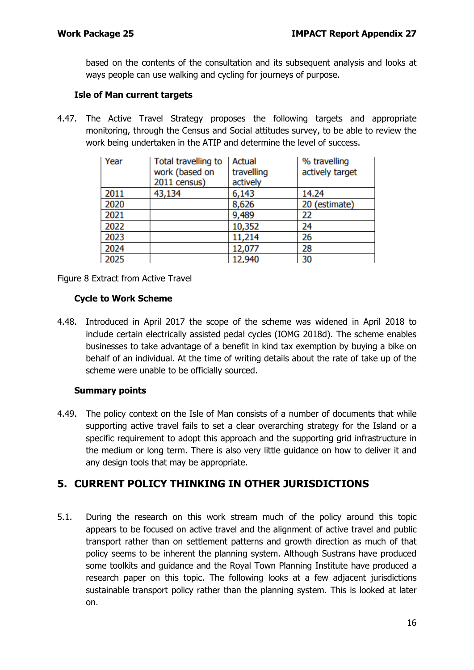based on the contents of the consultation and its subsequent analysis and looks at ways people can use walking and cycling for journeys of purpose.

#### **Isle of Man current targets**

4.47. The Active Travel Strategy proposes the following targets and appropriate monitoring, through the Census and Social attitudes survey, to be able to review the work being undertaken in the ATIP and determine the level of success.

| Year | Total travelling to<br>work (based on | Actual<br>travelling | % travelling<br>actively target |
|------|---------------------------------------|----------------------|---------------------------------|
|      | 2011 census)                          | actively             |                                 |
| 2011 | 43,134                                | 6,143                | 14.24                           |
| 2020 |                                       | 8,626                | 20 (estimate)                   |
| 2021 |                                       | 9,489                | 22                              |
| 2022 |                                       | 10,352               | 24                              |
| 2023 |                                       | 11,214               | 26                              |
| 2024 |                                       | 12,077               | 28                              |
| 2025 |                                       | 12,940               | 30                              |

Figure 8 Extract from Active Travel

#### **Cycle to Work Scheme**

4.48. Introduced in April 2017 the scope of the scheme was widened in April 2018 to include certain electrically assisted pedal cycles (IOMG 2018d). The scheme enables businesses to take advantage of a benefit in kind tax exemption by buying a bike on behalf of an individual. At the time of writing details about the rate of take up of the scheme were unable to be officially sourced.

#### **Summary points**

4.49. The policy context on the Isle of Man consists of a number of documents that while supporting active travel fails to set a clear overarching strategy for the Island or a specific requirement to adopt this approach and the supporting grid infrastructure in the medium or long term. There is also very little guidance on how to deliver it and any design tools that may be appropriate.

## **5. CURRENT POLICY THINKING IN OTHER JURISDICTIONS**

5.1. During the research on this work stream much of the policy around this topic appears to be focused on active travel and the alignment of active travel and public transport rather than on settlement patterns and growth direction as much of that policy seems to be inherent the planning system. Although Sustrans have produced some toolkits and guidance and the Royal Town Planning Institute have produced a research paper on this topic. The following looks at a few adjacent jurisdictions sustainable transport policy rather than the planning system. This is looked at later on.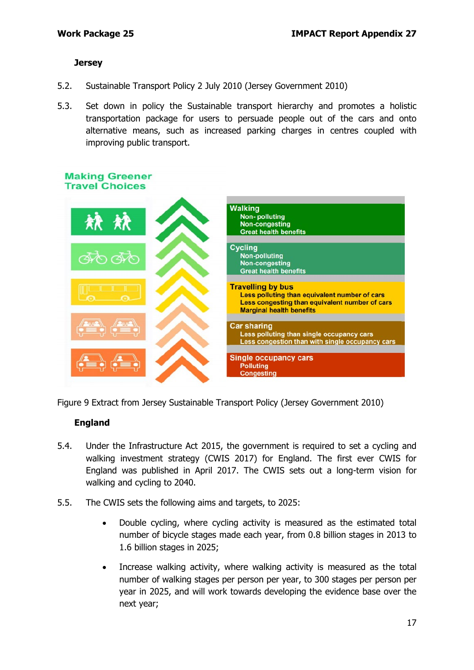#### **Jersey**

- 5.2. Sustainable Transport Policy 2 July 2010 (Jersey Government 2010)
- 5.3. Set down in policy the Sustainable transport hierarchy and promotes a holistic transportation package for users to persuade people out of the cars and onto alternative means, such as increased parking charges in centres coupled with improving public transport.



Figure 9 Extract from Jersey Sustainable Transport Policy (Jersey Government 2010)

#### **England**

- 5.4. Under the Infrastructure Act 2015, the government is required to set a cycling and walking investment strategy (CWIS 2017) for England. The first ever CWIS for England was published in April 2017. The CWIS sets out a long-term vision for walking and cycling to 2040.
- 5.5. The CWIS sets the following aims and targets, to 2025:
	- Double cycling, where cycling activity is measured as the estimated total number of bicycle stages made each year, from 0.8 billion stages in 2013 to 1.6 billion stages in 2025;
	- Increase walking activity, where walking activity is measured as the total number of walking stages per person per year, to 300 stages per person per year in 2025, and will work towards developing the evidence base over the next year;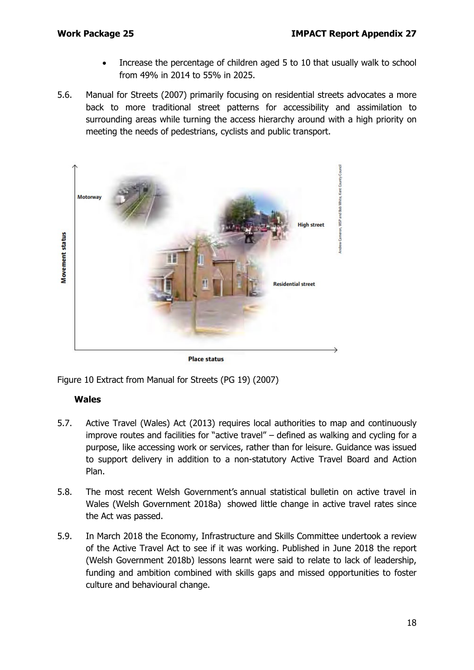- Increase the percentage of children aged 5 to 10 that usually walk to school from 49% in 2014 to 55% in 2025.
- 5.6. Manual for Streets (2007) primarily focusing on residential streets advocates a more back to more traditional street patterns for accessibility and assimilation to surrounding areas while turning the access hierarchy around with a high priority on meeting the needs of pedestrians, cyclists and public transport.



**Place status** 

Figure 10 Extract from Manual for Streets (PG 19) (2007)

#### **Wales**

- 5.7. Active Travel (Wales) Act (2013) requires local authorities to map and continuously improve routes and facilities for "active travel" – defined as walking and cycling for a purpose, like accessing work or services, rather than for leisure. Guidance was issued to support delivery in addition to a non-statutory Active Travel Board and Action Plan.
- 5.8. The most recent Welsh Government's annual statistical bulletin on active travel in Wales (Welsh Government 2018a) showed little change in active travel rates since the Act was passed.
- 5.9. In March 2018 the Economy, Infrastructure and Skills Committee undertook a review of the Active Travel Act to see if it was working. Published in June 2018 the report (Welsh Government 2018b) lessons learnt were said to relate to lack of leadership, funding and ambition combined with skills gaps and missed opportunities to foster culture and behavioural change.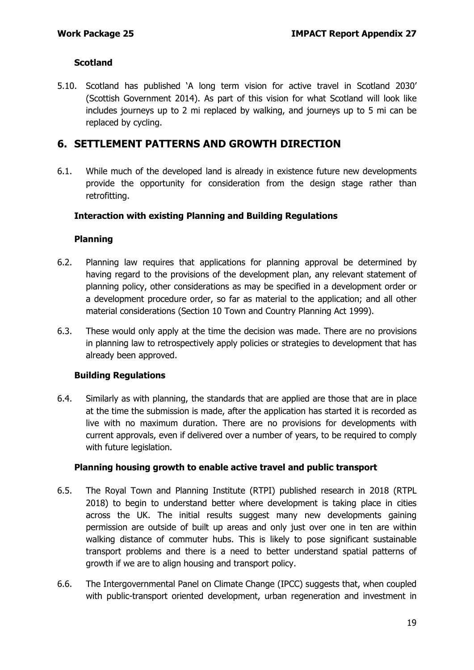#### **Scotland**

5.10. Scotland has published 'A long term vision for active travel in Scotland 2030' (Scottish Government 2014). As part of this vision for what Scotland will look like includes journeys up to 2 mi replaced by walking, and journeys up to 5 mi can be replaced by cycling.

## **6. SETTLEMENT PATTERNS AND GROWTH DIRECTION**

6.1. While much of the developed land is already in existence future new developments provide the opportunity for consideration from the design stage rather than retrofitting.

#### **Interaction with existing Planning and Building Regulations**

#### **Planning**

- 6.2. Planning law requires that applications for planning approval be determined by having regard to the provisions of the development plan, any relevant statement of planning policy, other considerations as may be specified in a development order or a development procedure order, so far as material to the application; and all other material considerations (Section 10 Town and Country Planning Act 1999).
- 6.3. These would only apply at the time the decision was made. There are no provisions in planning law to retrospectively apply policies or strategies to development that has already been approved.

#### **Building Regulations**

6.4. Similarly as with planning, the standards that are applied are those that are in place at the time the submission is made, after the application has started it is recorded as live with no maximum duration. There are no provisions for developments with current approvals, even if delivered over a number of years, to be required to comply with future legislation.

#### **Planning housing growth to enable active travel and public transport**

- 6.5. The Royal Town and Planning Institute (RTPI) published research in 2018 (RTPL 2018) to begin to understand better where development is taking place in cities across the UK. The initial results suggest many new developments gaining permission are outside of built up areas and only just over one in ten are within walking distance of commuter hubs. This is likely to pose significant sustainable transport problems and there is a need to better understand spatial patterns of growth if we are to align housing and transport policy.
- 6.6. The Intergovernmental Panel on Climate Change (IPCC) suggests that, when coupled with public-transport oriented development, urban regeneration and investment in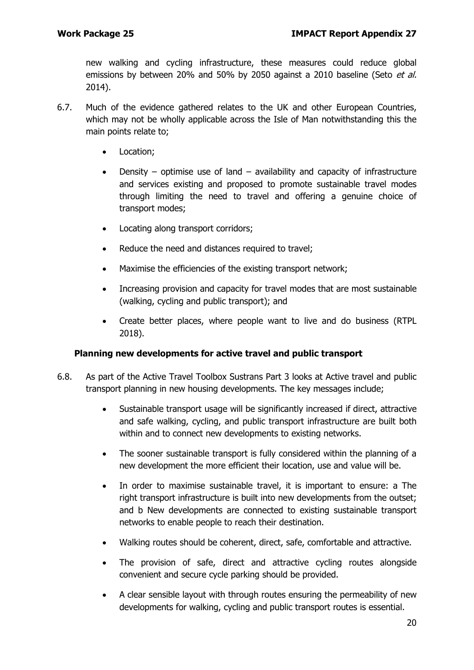new walking and cycling infrastructure, these measures could reduce global emissions by between 20% and 50% by 2050 against a 2010 baseline (Seto et al. 2014).

- 6.7. Much of the evidence gathered relates to the UK and other European Countries, which may not be wholly applicable across the Isle of Man notwithstanding this the main points relate to;
	- Location;
	- Density optimise use of land availability and capacity of infrastructure and services existing and proposed to promote sustainable travel modes through limiting the need to travel and offering a genuine choice of transport modes;
	- Locating along transport corridors;
	- Reduce the need and distances required to travel;
	- Maximise the efficiencies of the existing transport network;
	- Increasing provision and capacity for travel modes that are most sustainable (walking, cycling and public transport); and
	- Create better places, where people want to live and do business (RTPL 2018).

#### **Planning new developments for active travel and public transport**

- 6.8. As part of the Active Travel Toolbox Sustrans Part 3 looks at Active travel and public transport planning in new housing developments. The key messages include;
	- Sustainable transport usage will be significantly increased if direct, attractive and safe walking, cycling, and public transport infrastructure are built both within and to connect new developments to existing networks.
	- The sooner sustainable transport is fully considered within the planning of a new development the more efficient their location, use and value will be.
	- In order to maximise sustainable travel, it is important to ensure: a The right transport infrastructure is built into new developments from the outset; and b New developments are connected to existing sustainable transport networks to enable people to reach their destination.
	- Walking routes should be coherent, direct, safe, comfortable and attractive.
	- The provision of safe, direct and attractive cycling routes alongside convenient and secure cycle parking should be provided.
	- A clear sensible layout with through routes ensuring the permeability of new developments for walking, cycling and public transport routes is essential.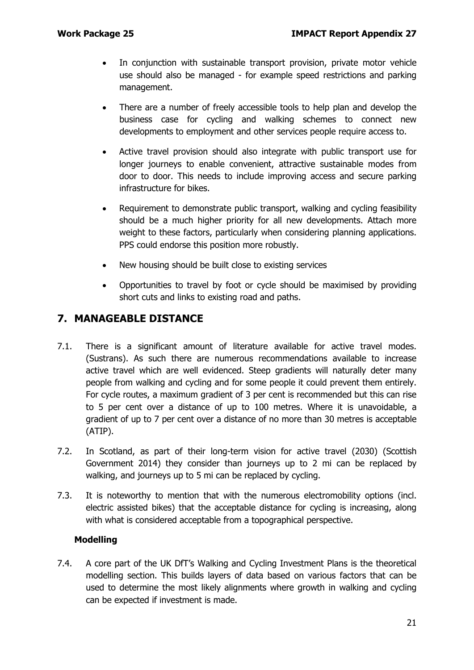- In conjunction with sustainable transport provision, private motor vehicle use should also be managed - for example speed restrictions and parking management.
- There are a number of freely accessible tools to help plan and develop the business case for cycling and walking schemes to connect new developments to employment and other services people require access to.
- Active travel provision should also integrate with public transport use for longer journeys to enable convenient, attractive sustainable modes from door to door. This needs to include improving access and secure parking infrastructure for bikes.
- Requirement to demonstrate public transport, walking and cycling feasibility should be a much higher priority for all new developments. Attach more weight to these factors, particularly when considering planning applications. PPS could endorse this position more robustly.
- New housing should be built close to existing services
- Opportunities to travel by foot or cycle should be maximised by providing short cuts and links to existing road and paths.

## **7. MANAGEABLE DISTANCE**

- 7.1. There is a significant amount of literature available for active travel modes. (Sustrans). As such there are numerous recommendations available to increase active travel which are well evidenced. Steep gradients will naturally deter many people from walking and cycling and for some people it could prevent them entirely. For cycle routes, a maximum gradient of 3 per cent is recommended but this can rise to 5 per cent over a distance of up to 100 metres. Where it is unavoidable, a gradient of up to 7 per cent over a distance of no more than 30 metres is acceptable (ATIP).
- 7.2. In Scotland, as part of their long-term vision for active travel (2030) (Scottish Government 2014) they consider than journeys up to 2 mi can be replaced by walking, and journeys up to 5 mi can be replaced by cycling.
- 7.3. It is noteworthy to mention that with the numerous electromobility options (incl. electric assisted bikes) that the acceptable distance for cycling is increasing, along with what is considered acceptable from a topographical perspective.

#### **Modelling**

7.4. A core part of the UK DfT's Walking and Cycling Investment Plans is the theoretical modelling section. This builds layers of data based on various factors that can be used to determine the most likely alignments where growth in walking and cycling can be expected if investment is made.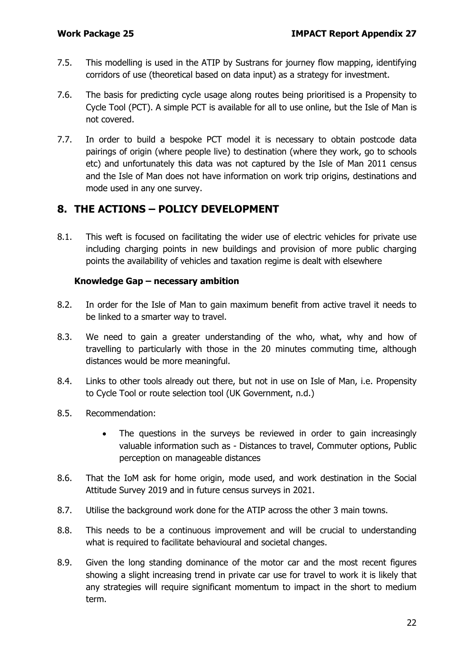- 7.5. This modelling is used in the ATIP by Sustrans for journey flow mapping, identifying corridors of use (theoretical based on data input) as a strategy for investment.
- 7.6. The basis for predicting cycle usage along routes being prioritised is a Propensity to Cycle Tool (PCT). A simple PCT is available for all to use online, but the Isle of Man is not covered.
- 7.7. In order to build a bespoke PCT model it is necessary to obtain postcode data pairings of origin (where people live) to destination (where they work, go to schools etc) and unfortunately this data was not captured by the Isle of Man 2011 census and the Isle of Man does not have information on work trip origins, destinations and mode used in any one survey.

## **8. THE ACTIONS – POLICY DEVELOPMENT**

8.1. This weft is focused on facilitating the wider use of electric vehicles for private use including charging points in new buildings and provision of more public charging points the availability of vehicles and taxation regime is dealt with elsewhere

#### **Knowledge Gap – necessary ambition**

- 8.2. In order for the Isle of Man to gain maximum benefit from active travel it needs to be linked to a smarter way to travel.
- 8.3. We need to gain a greater understanding of the who, what, why and how of travelling to particularly with those in the 20 minutes commuting time, although distances would be more meaningful.
- 8.4. Links to other tools already out there, but not in use on Isle of Man, i.e. Propensity to Cycle Tool or route selection tool (UK Government, n.d.)
- 8.5. Recommendation:
	- The questions in the surveys be reviewed in order to gain increasingly valuable information such as - Distances to travel, Commuter options, Public perception on manageable distances
- 8.6. That the IoM ask for home origin, mode used, and work destination in the Social Attitude Survey 2019 and in future census surveys in 2021.
- 8.7. Utilise the background work done for the ATIP across the other 3 main towns.
- 8.8. This needs to be a continuous improvement and will be crucial to understanding what is required to facilitate behavioural and societal changes.
- 8.9. Given the long standing dominance of the motor car and the most recent figures showing a slight increasing trend in private car use for travel to work it is likely that any strategies will require significant momentum to impact in the short to medium term.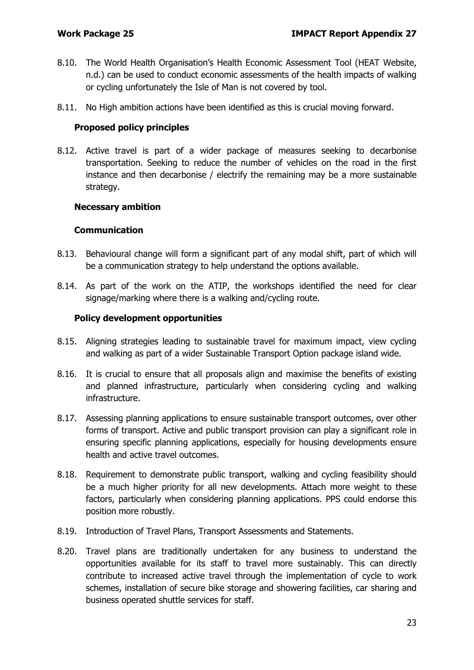- 8.10. The World Health Organisation's Health Economic Assessment Tool (HEAT Website, n.d.) can be used to conduct economic assessments of the health impacts of walking or cycling unfortunately the Isle of Man is not covered by tool.
- 8.11. No High ambition actions have been identified as this is crucial moving forward.

#### **Proposed policy principles**

8.12. Active travel is part of a wider package of measures seeking to decarbonise transportation. Seeking to reduce the number of vehicles on the road in the first instance and then decarbonise / electrify the remaining may be a more sustainable strategy.

#### **Necessary ambition**

#### **Communication**

- 8.13. Behavioural change will form a significant part of any modal shift, part of which will be a communication strategy to help understand the options available.
- 8.14. As part of the work on the ATIP, the workshops identified the need for clear signage/marking where there is a walking and/cycling route.

#### **Policy development opportunities**

- 8.15. Aligning strategies leading to sustainable travel for maximum impact, view cycling and walking as part of a wider Sustainable Transport Option package island wide.
- 8.16. It is crucial to ensure that all proposals align and maximise the benefits of existing and planned infrastructure, particularly when considering cycling and walking infrastructure.
- 8.17. Assessing planning applications to ensure sustainable transport outcomes, over other forms of transport. Active and public transport provision can play a significant role in ensuring specific planning applications, especially for housing developments ensure health and active travel outcomes.
- 8.18. Requirement to demonstrate public transport, walking and cycling feasibility should be a much higher priority for all new developments. Attach more weight to these factors, particularly when considering planning applications. PPS could endorse this position more robustly.
- 8.19. Introduction of Travel Plans, Transport Assessments and Statements.
- 8.20. Travel plans are traditionally undertaken for any business to understand the opportunities available for its staff to travel more sustainably. This can directly contribute to increased active travel through the implementation of cycle to work schemes, installation of secure bike storage and showering facilities, car sharing and business operated shuttle services for staff.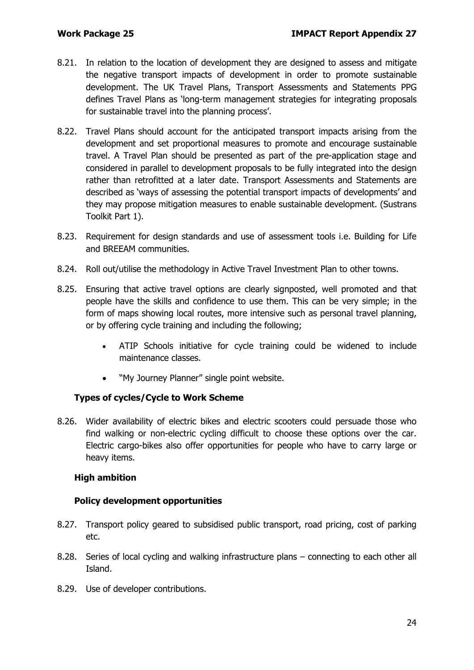- 8.21. In relation to the location of development they are designed to assess and mitigate the negative transport impacts of development in order to promote sustainable development. The UK Travel Plans, Transport Assessments and Statements PPG defines Travel Plans as 'long-term management strategies for integrating proposals for sustainable travel into the planning process'.
- 8.22. Travel Plans should account for the anticipated transport impacts arising from the development and set proportional measures to promote and encourage sustainable travel. A Travel Plan should be presented as part of the pre-application stage and considered in parallel to development proposals to be fully integrated into the design rather than retrofitted at a later date. Transport Assessments and Statements are described as 'ways of assessing the potential transport impacts of developments' and they may propose mitigation measures to enable sustainable development. (Sustrans Toolkit Part 1).
- 8.23. Requirement for design standards and use of assessment tools i.e. Building for Life and BREEAM communities.
- 8.24. Roll out/utilise the methodology in Active Travel Investment Plan to other towns.
- 8.25. Ensuring that active travel options are clearly signposted, well promoted and that people have the skills and confidence to use them. This can be very simple; in the form of maps showing local routes, more intensive such as personal travel planning, or by offering cycle training and including the following;
	- ATIP Schools initiative for cycle training could be widened to include maintenance classes.
	- "My Journey Planner" single point website.

### **Types of cycles/Cycle to Work Scheme**

8.26. Wider availability of electric bikes and electric scooters could persuade those who find walking or non-electric cycling difficult to choose these options over the car. Electric cargo-bikes also offer opportunities for people who have to carry large or heavy items.

#### **High ambition**

#### **Policy development opportunities**

- 8.27. Transport policy geared to subsidised public transport, road pricing, cost of parking etc.
- 8.28. Series of local cycling and walking infrastructure plans connecting to each other all Island.
- 8.29. Use of developer contributions.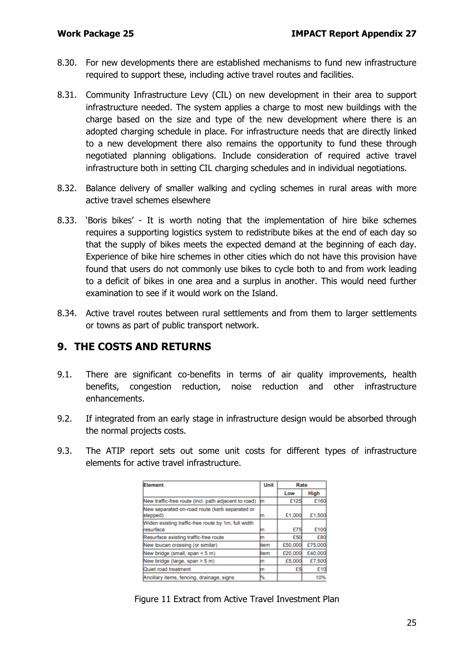- 8.30. For new developments there are established mechanisms to fund new infrastructure required to support these, including active travel routes and facilities.
- 8.31. Community Infrastructure Levy (CIL) on new development in their area to support infrastructure needed. The system applies a charge to most new buildings with the charge based on the size and type of the new development where there is an adopted charging schedule in place. For infrastructure needs that are directly linked to a new development there also remains the opportunity to fund these through negotiated planning obligations. Include consideration of required active travel infrastructure both in setting CIL charging schedules and in individual negotiations.
- 8.32. Balance delivery of smaller walking and cycling schemes in rural areas with more active travel schemes elsewhere
- 8.33. 'Boris bikes' It is worth noting that the implementation of hire bike schemes requires a supporting logistics system to redistribute bikes at the end of each day so that the supply of bikes meets the expected demand at the beginning of each day. Experience of bike hire schemes in other cities which do not have this provision have found that users do not commonly use bikes to cycle both to and from work leading to a deficit of bikes in one area and a surplus in another. This would need further examination to see if it would work on the Island.
- 8.34. Active travel routes between rural settlements and from them to larger settlements or towns as part of public transport network.

## **9. THE COSTS AND RETURNS**

- 9.1. There are significant co-benefits in terms of air quality improvements, health benefits, congestion reduction, noise reduction and other infrastructure enhancements.
- 9.2. If integrated from an early stage in infrastructure design would be absorbed through the normal projects costs.
- 9.3. The ATIP report sets out some unit costs for different types of infrastructure elements for active travel infrastructure.

| Element                                                          | Unit | Rate    |             |
|------------------------------------------------------------------|------|---------|-------------|
|                                                                  |      | Low     | <b>High</b> |
| New traffic-free route (incl. path adjacent to road)             | m    | £125    | £160        |
| New separated on-road route (kerb separated or<br>stepped)       | m    | £1,000  | £1,500      |
| Widen existing traffic-free route by 1m, full width<br>resurface | m    | £75     | £100        |
| Resurface existing traffic-free route                            | m    | £50     | £80         |
| New toucan crossing (or similar)                                 | item | £50,000 | £75,000     |
| New bridge (small, span < 5 m)                                   | item | £20,000 | £40,000     |
| New bridge (large, span > 5 m)                                   | m    | £5,000  | £7,500      |
| Quiet road treatment                                             | m    | £5      | £10         |
| Ancillary items, fencing, drainage, signs                        | ₩    |         | 10%         |

Figure 11 Extract from Active Travel Investment Plan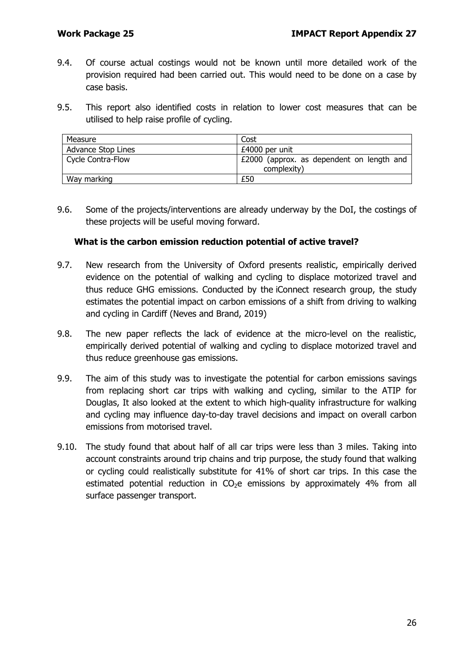- 9.4. Of course actual costings would not be known until more detailed work of the provision required had been carried out. This would need to be done on a case by case basis.
- 9.5. This report also identified costs in relation to lower cost measures that can be utilised to help raise profile of cycling.

| Measure            | Cost                                                     |  |  |
|--------------------|----------------------------------------------------------|--|--|
| Advance Stop Lines | £4000 per unit                                           |  |  |
| Cycle Contra-Flow  | £2000 (approx. as dependent on length and<br>complexity) |  |  |
| Way marking        | £50                                                      |  |  |

9.6. Some of the projects/interventions are already underway by the DoI, the costings of these projects will be useful moving forward.

#### **What is the carbon emission reduction potential of active travel?**

- 9.7. New research from the University of Oxford presents realistic, empirically derived evidence on the potential of walking and cycling to displace motorized travel and thus reduce GHG emissions. Conducted by the [iConnect research group,](http://www.iconnect.ac.uk/) the study estimates the potential impact on carbon emissions of a shift from driving to walking and cycling in Cardiff (Neves and Brand, 2019)
- 9.8. The new paper reflects the lack of evidence at the micro-level on the realistic, empirically derived potential of walking and cycling to displace motorized travel and thus reduce greenhouse gas emissions.
- 9.9. The aim of this study was to investigate the potential for carbon emissions savings from replacing short car trips with walking and cycling, similar to the ATIP for Douglas, It also looked at the extent to which high-quality infrastructure for walking and cycling may influence day-to-day travel decisions and impact on overall carbon emissions from motorised travel.
- 9.10. The study found that about half of all car trips were less than 3 miles. Taking into account constraints around trip chains and trip purpose, the study found that walking or cycling could realistically substitute for 41% of short car trips. In this case the estimated potential reduction in  $CO<sub>2</sub>e$  emissions by approximately 4% from all surface passenger transport.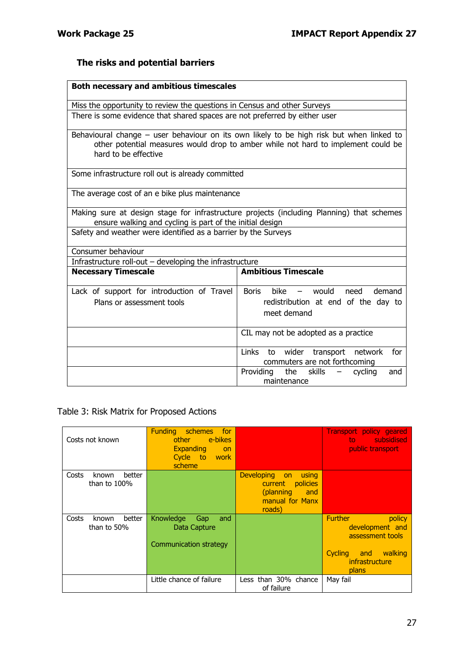# **The risks and potential barriers**

| <b>Both necessary and ambitious timescales</b>                                                                                                                                                        |                                                                          |  |  |  |
|-------------------------------------------------------------------------------------------------------------------------------------------------------------------------------------------------------|--------------------------------------------------------------------------|--|--|--|
| Miss the opportunity to review the questions in Census and other Surveys                                                                                                                              |                                                                          |  |  |  |
| There is some evidence that shared spaces are not preferred by either user                                                                                                                            |                                                                          |  |  |  |
| Behavioural change – user behaviour on its own likely to be high risk but when linked to<br>other potential measures would drop to amber while not hard to implement could be<br>hard to be effective |                                                                          |  |  |  |
| Some infrastructure roll out is already committed                                                                                                                                                     |                                                                          |  |  |  |
| The average cost of an e bike plus maintenance                                                                                                                                                        |                                                                          |  |  |  |
| Making sure at design stage for infrastructure projects (including Planning) that schemes<br>ensure walking and cycling is part of the initial design                                                 |                                                                          |  |  |  |
| Safety and weather were identified as a barrier by the Surveys                                                                                                                                        |                                                                          |  |  |  |
| Consumer behaviour                                                                                                                                                                                    |                                                                          |  |  |  |
| Infrastructure roll-out $-$ developing the infrastructure                                                                                                                                             |                                                                          |  |  |  |
| <b>Necessary Timescale</b>                                                                                                                                                                            | <b>Ambitious Timescale</b>                                               |  |  |  |
| Lack of support for introduction of Travel                                                                                                                                                            | bike – would need demand<br>Boris                                        |  |  |  |
| Plans or assessment tools                                                                                                                                                                             | redistribution at end of the day to                                      |  |  |  |
|                                                                                                                                                                                                       | meet demand                                                              |  |  |  |
|                                                                                                                                                                                                       | CIL may not be adopted as a practice                                     |  |  |  |
|                                                                                                                                                                                                       | Links to wider transport network<br>for<br>commuters are not forthcoming |  |  |  |
|                                                                                                                                                                                                       | Providing<br>the<br>skills<br>cycling<br>$\overline{\phantom{a}}$<br>and |  |  |  |
|                                                                                                                                                                                                       | maintenance                                                              |  |  |  |

Table 3: Risk Matrix for Proposed Actions

| Costs not known                             | <b>Funding</b><br>schemes<br>for<br>e-bikes<br>other<br><b>Expanding</b><br>on<br>Cycle to<br>work <b>work</b><br>scheme |                                                                                                                 | <b>Transport policy geared</b><br>subsidised<br>to<br>public transport                                            |
|---------------------------------------------|--------------------------------------------------------------------------------------------------------------------------|-----------------------------------------------------------------------------------------------------------------|-------------------------------------------------------------------------------------------------------------------|
| Costs<br>better<br>known<br>than to $100\%$ |                                                                                                                          | <b>Developing</b><br>using<br><b>on</b><br>policies<br>current<br>(planning<br>and<br>manual for Manx<br>roads) |                                                                                                                   |
| better<br>Costs<br>known<br>than to 50%     | Knowledge<br>Gap<br>and<br>Data Capture<br><b>Communication strategy</b>                                                 |                                                                                                                 | <b>Further</b><br>policy<br>development and<br>assessment tools<br>Cycling and walking<br>infrastructure<br>plans |
|                                             | Little chance of failure                                                                                                 | Less than 30% chance<br>of failure                                                                              | May fail                                                                                                          |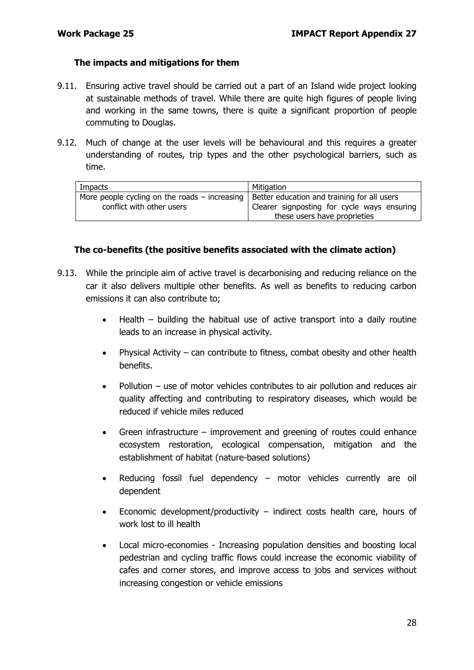#### **The impacts and mitigations for them**

- 9.11. Ensuring active travel should be carried out a part of an Island wide project looking at sustainable methods of travel. While there are quite high figures of people living and working in the same towns, there is quite a significant proportion of people commuting to Douglas.
- 9.12. Much of change at the user levels will be behavioural and this requires a greater understanding of routes, trip types and the other psychological barriers, such as time.

| Impacts                                                                                           | Mitigation                                  |
|---------------------------------------------------------------------------------------------------|---------------------------------------------|
| More people cycling on the roads – increasing $\vert$ Better education and training for all users | Clearer signposting for cycle ways ensuring |
| conflict with other users                                                                         | these users have proprieties                |

#### **The co-benefits (the positive benefits associated with the climate action)**

- 9.13. While the principle aim of active travel is decarbonising and reducing reliance on the car it also delivers multiple other benefits. As well as benefits to reducing carbon emissions it can also contribute to;
	- Health building the habitual use of active transport into a daily routine leads to an increase in physical activity.
	- Physical Activity can contribute to fitness, combat obesity and other health benefits.
	- $P$ ollution use of motor vehicles contributes to air pollution and reduces air quality affecting and contributing to respiratory diseases, which would be reduced if vehicle miles reduced
	- Green infrastructure improvement and greening of routes could enhance ecosystem restoration, ecological compensation, mitigation and the establishment of habitat (nature-based solutions)
	- Reducing fossil fuel dependency motor vehicles currently are oil dependent
	- Economic development/productivity indirect costs health care, hours of work lost to ill health
	- Local micro-economies Increasing population densities and boosting local pedestrian and cycling traffic flows could increase the economic viability of cafes and corner stores, and improve access to jobs and services without increasing congestion or vehicle emissions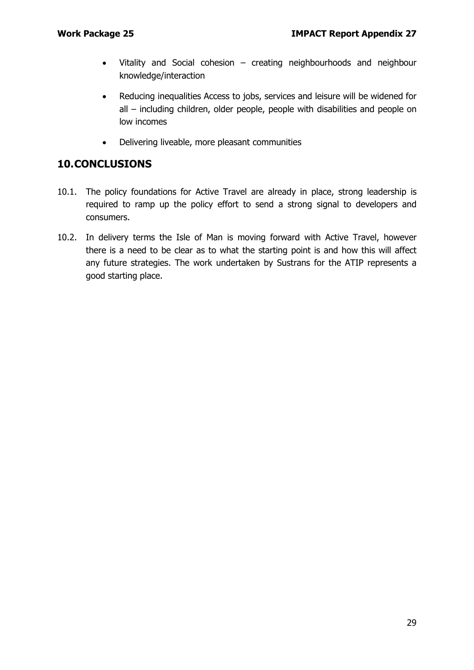- Vitality and Social cohesion creating neighbourhoods and neighbour knowledge/interaction
- Reducing inequalities Access to jobs, services and leisure will be widened for all – including children, older people, people with disabilities and people on low incomes
- Delivering liveable, more pleasant communities

## **10.CONCLUSIONS**

- 10.1. The policy foundations for Active Travel are already in place, strong leadership is required to ramp up the policy effort to send a strong signal to developers and consumers.
- 10.2. In delivery terms the Isle of Man is moving forward with Active Travel, however there is a need to be clear as to what the starting point is and how this will affect any future strategies. The work undertaken by Sustrans for the ATIP represents a good starting place.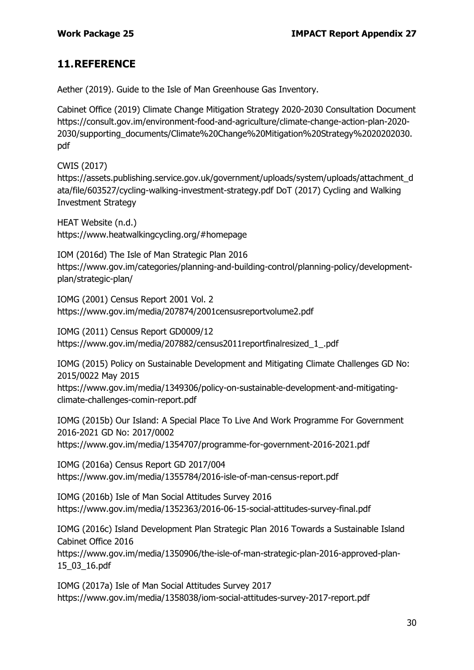## **11.REFERENCE**

Aether (2019). Guide to the Isle of Man Greenhouse Gas Inventory.

Cabinet Office (2019) Climate Change Mitigation Strategy 2020-2030 Consultation Document [https://consult.gov.im/environment-food-and-agriculture/climate-change-action-plan-2020-](https://consult.gov.im/environment-food-and-agriculture/climate-change-action-plan-2020-2030/supporting_documents/Climate%20Change%20Mitigation%20Strategy%2020202030.pdf) [2030/supporting\\_documents/Climate%20Change%20Mitigation%20Strategy%2020202030.](https://consult.gov.im/environment-food-and-agriculture/climate-change-action-plan-2020-2030/supporting_documents/Climate%20Change%20Mitigation%20Strategy%2020202030.pdf) [pdf](https://consult.gov.im/environment-food-and-agriculture/climate-change-action-plan-2020-2030/supporting_documents/Climate%20Change%20Mitigation%20Strategy%2020202030.pdf)

CWIS (2017) [https://assets.publishing.service.gov.uk/government/uploads/system/uploads/attachment\\_d](https://assets.publishing.service.gov.uk/government/uploads/system/uploads/attachment_data/file/603527/cycling-walking-investment-strategy.pdf) [ata/file/603527/cycling-walking-investment-strategy.pdf](https://assets.publishing.service.gov.uk/government/uploads/system/uploads/attachment_data/file/603527/cycling-walking-investment-strategy.pdf) DoT (2017) Cycling and Walking Investment Strategy

HEAT Website (n.d.) https://www.heatwalkingcycling.org/#homepage

IOM (2016d) The Isle of Man Strategic Plan 2016 [https://www.gov.im/categories/planning-and-building-control/planning-policy/development](https://www.gov.im/categories/planning-and-building-control/planning-policy/development-plan/strategic-plan/)[plan/strategic-plan/](https://www.gov.im/categories/planning-and-building-control/planning-policy/development-plan/strategic-plan/)

IOMG (2001) Census Report 2001 Vol. 2 <https://www.gov.im/media/207874/2001censusreportvolume2.pdf>

IOMG (2011) Census Report GD0009/12 [https://www.gov.im/media/207882/census2011reportfinalresized\\_1\\_.pdf](https://www.gov.im/media/207882/census2011reportfinalresized_1_.pdf)

IOMG (2015) Policy on Sustainable Development and Mitigating Climate Challenges GD No: 2015/0022 May 2015

[https://www.gov.im/media/1349306/policy-on-sustainable-development-and-mitigating](https://www.gov.im/media/1349306/policy-on-sustainable-development-and-mitigating-climate-challenges-comin-report.pdf)[climate-challenges-comin-report.pdf](https://www.gov.im/media/1349306/policy-on-sustainable-development-and-mitigating-climate-challenges-comin-report.pdf)

IOMG (2015b) Our Island: A Special Place To Live And Work Programme For Government 2016-2021 GD No: 2017/0002 <https://www.gov.im/media/1354707/programme-for-government-2016-2021.pdf>

IOMG (2016a) Census Report GD 2017/004 <https://www.gov.im/media/1355784/2016-isle-of-man-census-report.pdf>

IOMG (2016b) Isle of Man Social Attitudes Survey 2016 <https://www.gov.im/media/1352363/2016-06-15-social-attitudes-survey-final.pdf>

IOMG (2016c) Island Development Plan Strategic Plan 2016 Towards a Sustainable Island Cabinet Office 2016

[https://www.gov.im/media/1350906/the-isle-of-man-strategic-plan-2016-approved-plan-](https://www.gov.im/media/1350906/the-isle-of-man-strategic-plan-2016-approved-plan-15_03_16.pdf)[15\\_03\\_16.pdf](https://www.gov.im/media/1350906/the-isle-of-man-strategic-plan-2016-approved-plan-15_03_16.pdf)

IOMG (2017a) Isle of Man Social Attitudes Survey 2017 <https://www.gov.im/media/1358038/iom-social-attitudes-survey-2017-report.pdf>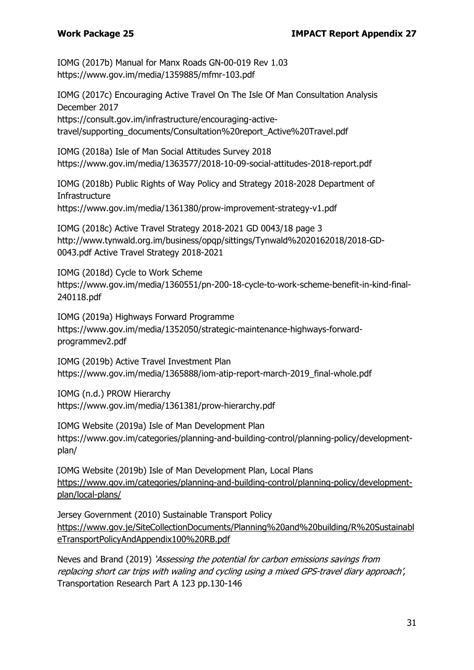IOMG (2017b) Manual for Manx Roads GN-00-019 Rev 1.03 <https://www.gov.im/media/1359885/mfmr-103.pdf>

IOMG (2017c) Encouraging Active Travel On The Isle Of Man Consultation Analysis December 2017 [https://consult.gov.im/infrastructure/encouraging-active](https://consult.gov.im/infrastructure/encouraging-active-travel/supporting_documents/Consultation%20report_Active%20Travel.pdf)[travel/supporting\\_documents/Consultation%20report\\_Active%20Travel.pdf](https://consult.gov.im/infrastructure/encouraging-active-travel/supporting_documents/Consultation%20report_Active%20Travel.pdf)

IOMG (2018a) Isle of Man Social Attitudes Survey 2018 <https://www.gov.im/media/1363577/2018-10-09-social-attitudes-2018-report.pdf>

IOMG (2018b) Public Rights of Way Policy and Strategy 2018-2028 Department of **Infrastructure** <https://www.gov.im/media/1361380/prow-improvement-strategy-v1.pdf>

IOMG (2018c) Active Travel Strategy 2018-2021 GD 0043/18 page 3 [http://www.tynwald.org.im/business/opqp/sittings/Tynwald%2020162018/2018-GD-](http://www.tynwald.org.im/business/opqp/sittings/Tynwald%2020162018/2018-GD-0043.pdf%20Active%20Travel%20Strategy%202018-2021)[0043.pdf Active Travel Strategy 2018-2021](http://www.tynwald.org.im/business/opqp/sittings/Tynwald%2020162018/2018-GD-0043.pdf%20Active%20Travel%20Strategy%202018-2021)

IOMG (2018d) Cycle to Work Scheme [https://www.gov.im/media/1360551/pn-200-18-cycle-to-work-scheme-benefit-in-kind-final-](https://www.gov.im/media/1360551/pn-200-18-cycle-to-work-scheme-benefit-in-kind-final-240118.pdf)[240118.pdf](https://www.gov.im/media/1360551/pn-200-18-cycle-to-work-scheme-benefit-in-kind-final-240118.pdf)

IOMG (2019a) Highways Forward Programme [https://www.gov.im/media/1352050/strategic-maintenance-highways-forward](https://www.gov.im/media/1352050/strategic-maintenance-highways-forward-programmev2.pdf)[programmev2.pdf](https://www.gov.im/media/1352050/strategic-maintenance-highways-forward-programmev2.pdf)

IOMG (2019b) Active Travel Investment Plan [https://www.gov.im/media/1365888/iom-atip-report-march-2019\\_final-whole.pdf](https://www.gov.im/media/1365888/iom-atip-report-march-2019_final-whole.pdf)

IOMG (n.d.) PROW Hierarchy <https://www.gov.im/media/1361381/prow-hierarchy.pdf>

IOMG Website (2019a) Isle of Man Development Plan [https://www.gov.im/categories/planning-and-building-control/planning-policy/development](https://www.gov.im/categories/planning-and-building-control/planning-policy/development-plan/)[plan/](https://www.gov.im/categories/planning-and-building-control/planning-policy/development-plan/)

IOMG Website (2019b) Isle of Man Development Plan, Local Plans [https://www.gov.im/categories/planning-and-building-control/planning-policy/development](https://www.gov.im/categories/planning-and-building-control/planning-policy/development-plan/local-plans/)[plan/local-plans/](https://www.gov.im/categories/planning-and-building-control/planning-policy/development-plan/local-plans/)

Jersey Government (2010) Sustainable Transport Policy [https://www.gov.je/SiteCollectionDocuments/Planning%20and%20building/R%20Sustainabl](https://www.gov.je/SiteCollectionDocuments/Planning%20and%20building/R%20SustainableTransportPolicyAndAppendix100%20RB.pdf) [eTransportPolicyAndAppendix100%20RB.pdf](https://www.gov.je/SiteCollectionDocuments/Planning%20and%20building/R%20SustainableTransportPolicyAndAppendix100%20RB.pdf)

Neves and Brand (2019) 'Assessing the potential for carbon emissions savings from replacing short car trips with waling and cycling using a mixed GPS-travel diary approach', Transportation Research Part A 123 pp.130-146